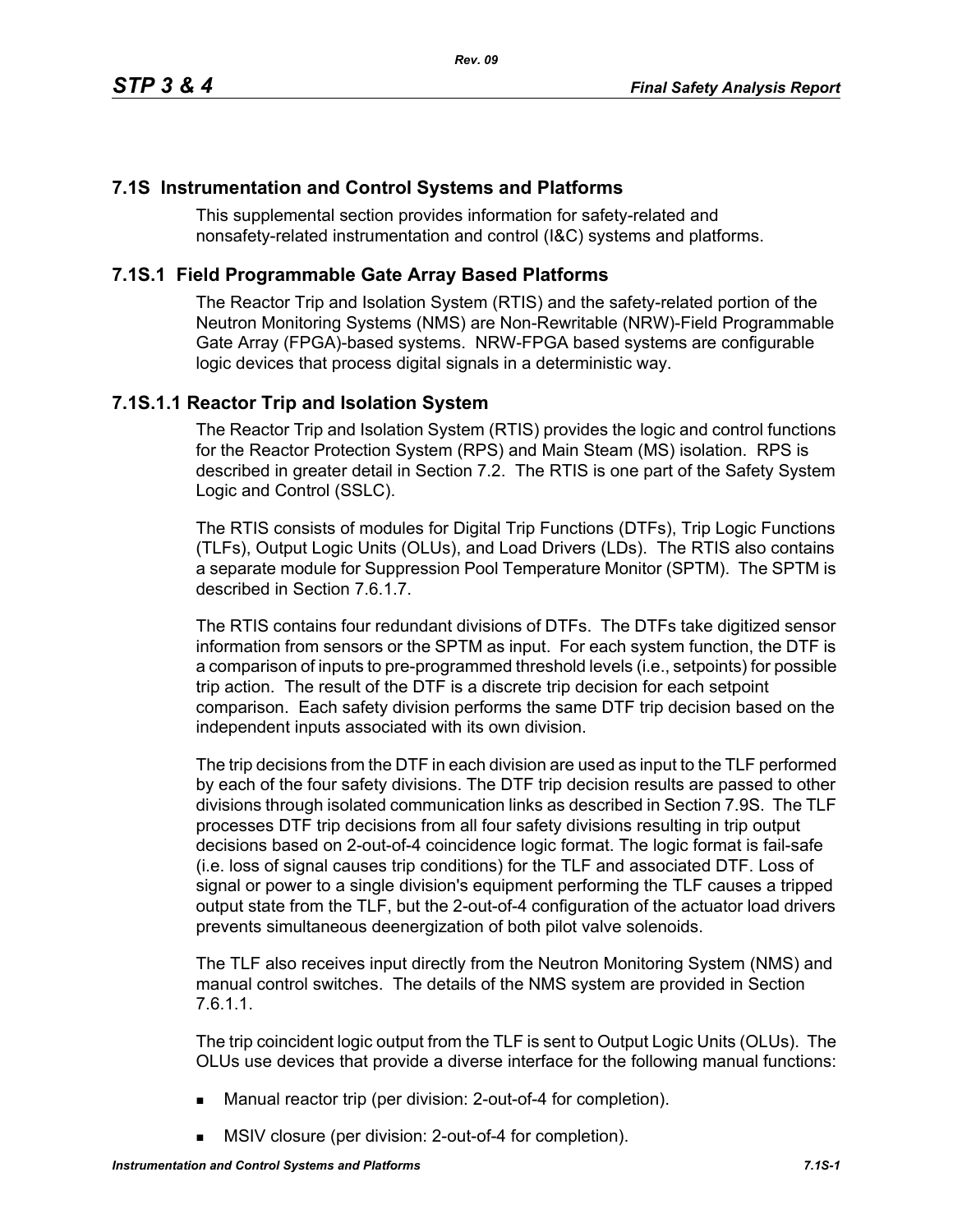# **7.1S Instrumentation and Control Systems and Platforms**

This supplemental section provides information for safety-related and nonsafety-related instrumentation and control (I&C) systems and platforms.

# **7.1S.1 Field Programmable Gate Array Based Platforms**

The Reactor Trip and Isolation System (RTIS) and the safety-related portion of the Neutron Monitoring Systems (NMS) are Non-Rewritable (NRW)-Field Programmable Gate Array (FPGA)-based systems. NRW-FPGA based systems are configurable logic devices that process digital signals in a deterministic way.

# **7.1S.1.1 Reactor Trip and Isolation System**

The Reactor Trip and Isolation System (RTIS) provides the logic and control functions for the Reactor Protection System (RPS) and Main Steam (MS) isolation. RPS is described in greater detail in Section 7.2. The RTIS is one part of the Safety System Logic and Control (SSLC).

The RTIS consists of modules for Digital Trip Functions (DTFs), Trip Logic Functions (TLFs), Output Logic Units (OLUs), and Load Drivers (LDs). The RTIS also contains a separate module for Suppression Pool Temperature Monitor (SPTM). The SPTM is described in Section 7.6.1.7.

The RTIS contains four redundant divisions of DTFs. The DTFs take digitized sensor information from sensors or the SPTM as input. For each system function, the DTF is a comparison of inputs to pre-programmed threshold levels (i.e., setpoints) for possible trip action. The result of the DTF is a discrete trip decision for each setpoint comparison. Each safety division performs the same DTF trip decision based on the independent inputs associated with its own division.

The trip decisions from the DTF in each division are used as input to the TLF performed by each of the four safety divisions. The DTF trip decision results are passed to other divisions through isolated communication links as described in Section 7.9S. The TLF processes DTF trip decisions from all four safety divisions resulting in trip output decisions based on 2-out-of-4 coincidence logic format. The logic format is fail-safe (i.e. loss of signal causes trip conditions) for the TLF and associated DTF. Loss of signal or power to a single division's equipment performing the TLF causes a tripped output state from the TLF, but the 2-out-of-4 configuration of the actuator load drivers prevents simultaneous deenergization of both pilot valve solenoids.

The TLF also receives input directly from the Neutron Monitoring System (NMS) and manual control switches. The details of the NMS system are provided in Section 7.6.1.1.

The trip coincident logic output from the TLF is sent to Output Logic Units (OLUs). The OLUs use devices that provide a diverse interface for the following manual functions:

- Manual reactor trip (per division: 2-out-of-4 for completion).
- **MSIV** closure (per division: 2-out-of-4 for completion).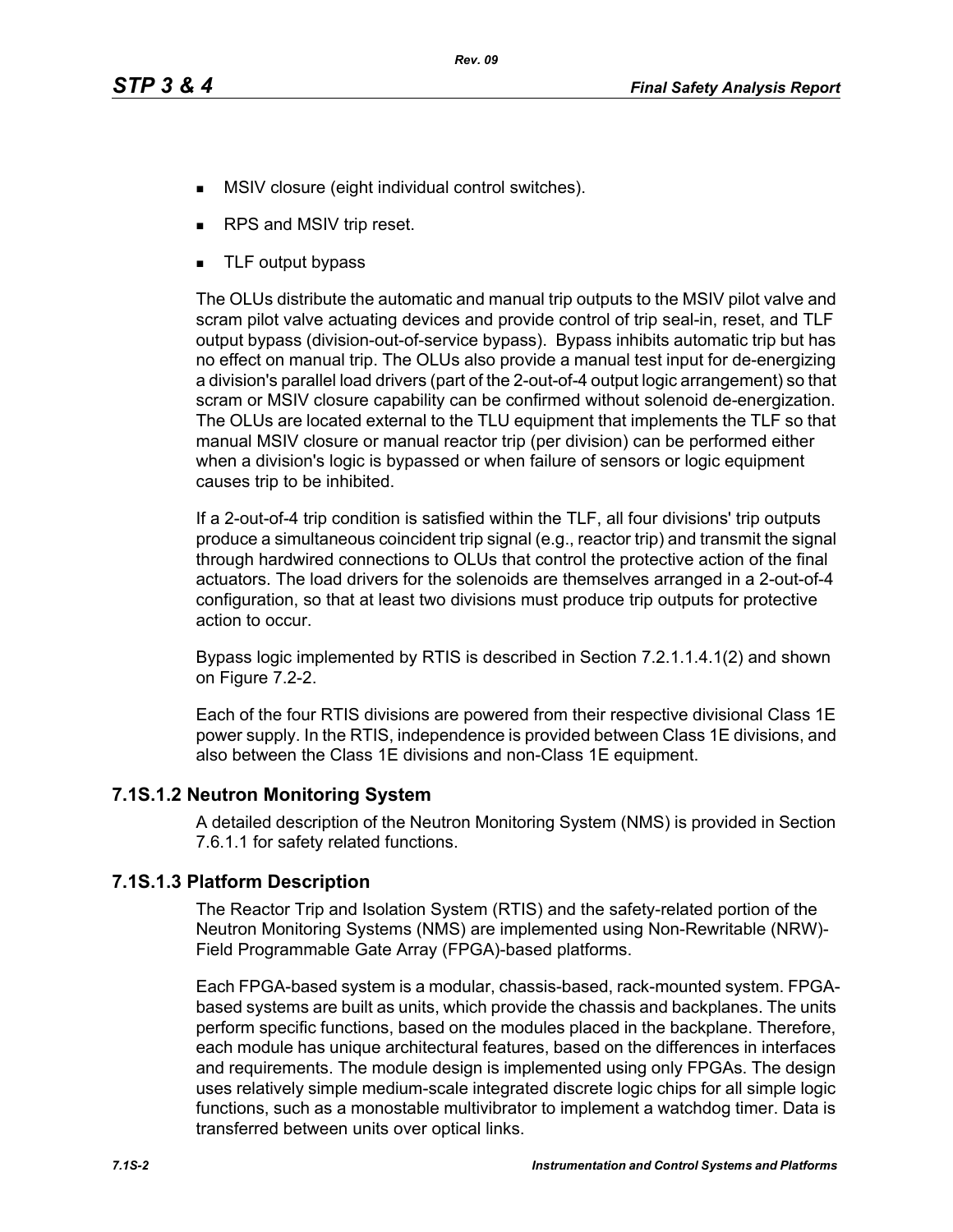- **MSIV** closure (eight individual control switches).
- RPS and MSIV trip reset.
- **TLF** output bypass

The OLUs distribute the automatic and manual trip outputs to the MSIV pilot valve and scram pilot valve actuating devices and provide control of trip seal-in, reset, and TLF output bypass (division-out-of-service bypass). Bypass inhibits automatic trip but has no effect on manual trip. The OLUs also provide a manual test input for de-energizing a division's parallel load drivers (part of the 2-out-of-4 output logic arrangement) so that scram or MSIV closure capability can be confirmed without solenoid de-energization. The OLUs are located external to the TLU equipment that implements the TLF so that manual MSIV closure or manual reactor trip (per division) can be performed either when a division's logic is bypassed or when failure of sensors or logic equipment causes trip to be inhibited.

If a 2-out-of-4 trip condition is satisfied within the TLF, all four divisions' trip outputs produce a simultaneous coincident trip signal (e.g., reactor trip) and transmit the signal through hardwired connections to OLUs that control the protective action of the final actuators. The load drivers for the solenoids are themselves arranged in a 2-out-of-4 configuration, so that at least two divisions must produce trip outputs for protective action to occur.

Bypass logic implemented by RTIS is described in Section 7.2.1.1.4.1(2) and shown on Figure 7.2-2.

Each of the four RTIS divisions are powered from their respective divisional Class 1E power supply. In the RTIS, independence is provided between Class 1E divisions, and also between the Class 1E divisions and non-Class 1E equipment.

# **7.1S.1.2 Neutron Monitoring System**

A detailed description of the Neutron Monitoring System (NMS) is provided in Section 7.6.1.1 for safety related functions.

# **7.1S.1.3 Platform Description**

The Reactor Trip and Isolation System (RTIS) and the safety-related portion of the Neutron Monitoring Systems (NMS) are implemented using Non-Rewritable (NRW)- Field Programmable Gate Array (FPGA)-based platforms.

Each FPGA-based system is a modular, chassis-based, rack-mounted system. FPGAbased systems are built as units, which provide the chassis and backplanes. The units perform specific functions, based on the modules placed in the backplane. Therefore, each module has unique architectural features, based on the differences in interfaces and requirements. The module design is implemented using only FPGAs. The design uses relatively simple medium-scale integrated discrete logic chips for all simple logic functions, such as a monostable multivibrator to implement a watchdog timer. Data is transferred between units over optical links.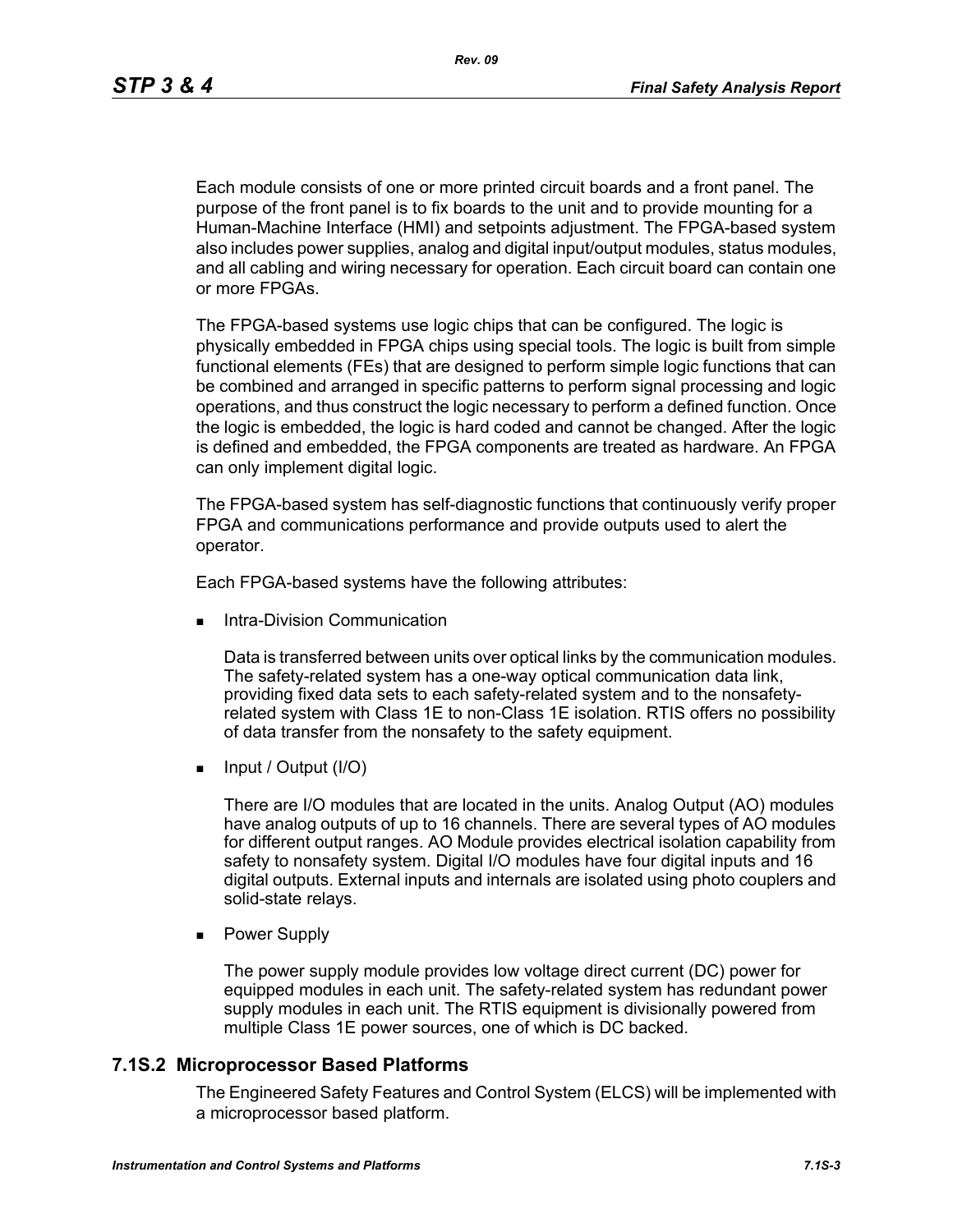Each module consists of one or more printed circuit boards and a front panel. The purpose of the front panel is to fix boards to the unit and to provide mounting for a Human-Machine Interface (HMI) and setpoints adjustment. The FPGA-based system also includes power supplies, analog and digital input/output modules, status modules, and all cabling and wiring necessary for operation. Each circuit board can contain one or more FPGAs.

The FPGA-based systems use logic chips that can be configured. The logic is physically embedded in FPGA chips using special tools. The logic is built from simple functional elements (FEs) that are designed to perform simple logic functions that can be combined and arranged in specific patterns to perform signal processing and logic operations, and thus construct the logic necessary to perform a defined function. Once the logic is embedded, the logic is hard coded and cannot be changed. After the logic is defined and embedded, the FPGA components are treated as hardware. An FPGA can only implement digital logic.

The FPGA-based system has self-diagnostic functions that continuously verify proper FPGA and communications performance and provide outputs used to alert the operator.

Each FPGA-based systems have the following attributes:

Intra-Division Communication

Data is transferred between units over optical links by the communication modules. The safety-related system has a one-way optical communication data link, providing fixed data sets to each safety-related system and to the nonsafetyrelated system with Class 1E to non-Class 1E isolation. RTIS offers no possibility of data transfer from the nonsafety to the safety equipment.

 $\blacksquare$  Input / Output (I/O)

There are I/O modules that are located in the units. Analog Output (AO) modules have analog outputs of up to 16 channels. There are several types of AO modules for different output ranges. AO Module provides electrical isolation capability from safety to nonsafety system. Digital I/O modules have four digital inputs and 16 digital outputs. External inputs and internals are isolated using photo couplers and solid-state relays.

**Power Supply** 

The power supply module provides low voltage direct current (DC) power for equipped modules in each unit. The safety-related system has redundant power supply modules in each unit. The RTIS equipment is divisionally powered from multiple Class 1E power sources, one of which is DC backed.

#### **7.1S.2 Microprocessor Based Platforms**

The Engineered Safety Features and Control System (ELCS) will be implemented with a microprocessor based platform.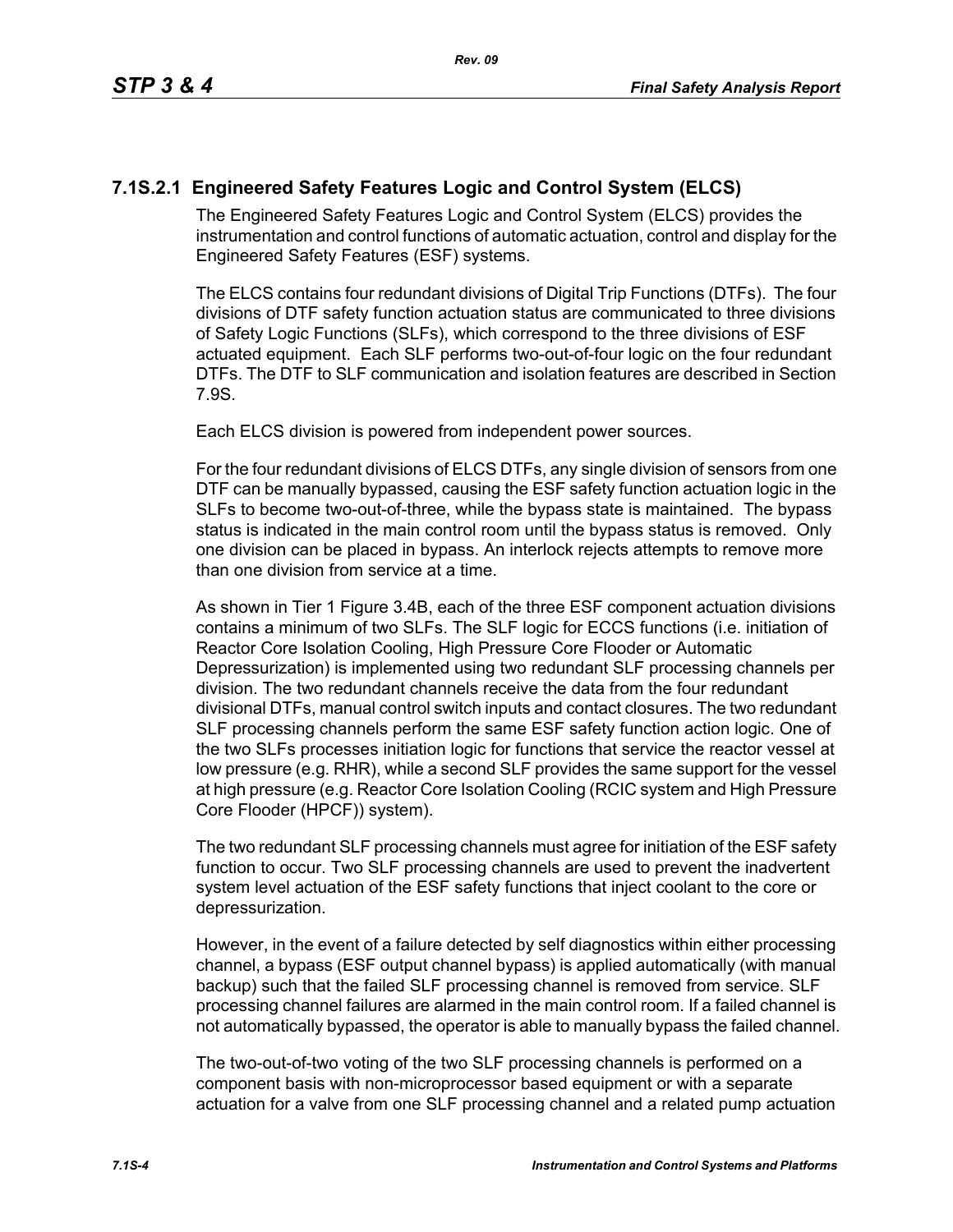# **7.1S.2.1 Engineered Safety Features Logic and Control System (ELCS)**

The Engineered Safety Features Logic and Control System (ELCS) provides the instrumentation and control functions of automatic actuation, control and display for the Engineered Safety Features (ESF) systems.

The ELCS contains four redundant divisions of Digital Trip Functions (DTFs). The four divisions of DTF safety function actuation status are communicated to three divisions of Safety Logic Functions (SLFs), which correspond to the three divisions of ESF actuated equipment. Each SLF performs two-out-of-four logic on the four redundant DTFs. The DTF to SLF communication and isolation features are described in Section 7.9S.

Each ELCS division is powered from independent power sources.

For the four redundant divisions of ELCS DTFs, any single division of sensors from one DTF can be manually bypassed, causing the ESF safety function actuation logic in the SLFs to become two-out-of-three, while the bypass state is maintained. The bypass status is indicated in the main control room until the bypass status is removed. Only one division can be placed in bypass. An interlock rejects attempts to remove more than one division from service at a time.

As shown in Tier 1 Figure 3.4B, each of the three ESF component actuation divisions contains a minimum of two SLFs. The SLF logic for ECCS functions (i.e. initiation of Reactor Core Isolation Cooling, High Pressure Core Flooder or Automatic Depressurization) is implemented using two redundant SLF processing channels per division. The two redundant channels receive the data from the four redundant divisional DTFs, manual control switch inputs and contact closures. The two redundant SLF processing channels perform the same ESF safety function action logic. One of the two SLFs processes initiation logic for functions that service the reactor vessel at low pressure (e.g. RHR), while a second SLF provides the same support for the vessel at high pressure (e.g. Reactor Core Isolation Cooling (RCIC system and High Pressure Core Flooder (HPCF)) system).

The two redundant SLF processing channels must agree for initiation of the ESF safety function to occur. Two SLF processing channels are used to prevent the inadvertent system level actuation of the ESF safety functions that inject coolant to the core or depressurization.

However, in the event of a failure detected by self diagnostics within either processing channel, a bypass (ESF output channel bypass) is applied automatically (with manual backup) such that the failed SLF processing channel is removed from service. SLF processing channel failures are alarmed in the main control room. If a failed channel is not automatically bypassed, the operator is able to manually bypass the failed channel.

The two-out-of-two voting of the two SLF processing channels is performed on a component basis with non-microprocessor based equipment or with a separate actuation for a valve from one SLF processing channel and a related pump actuation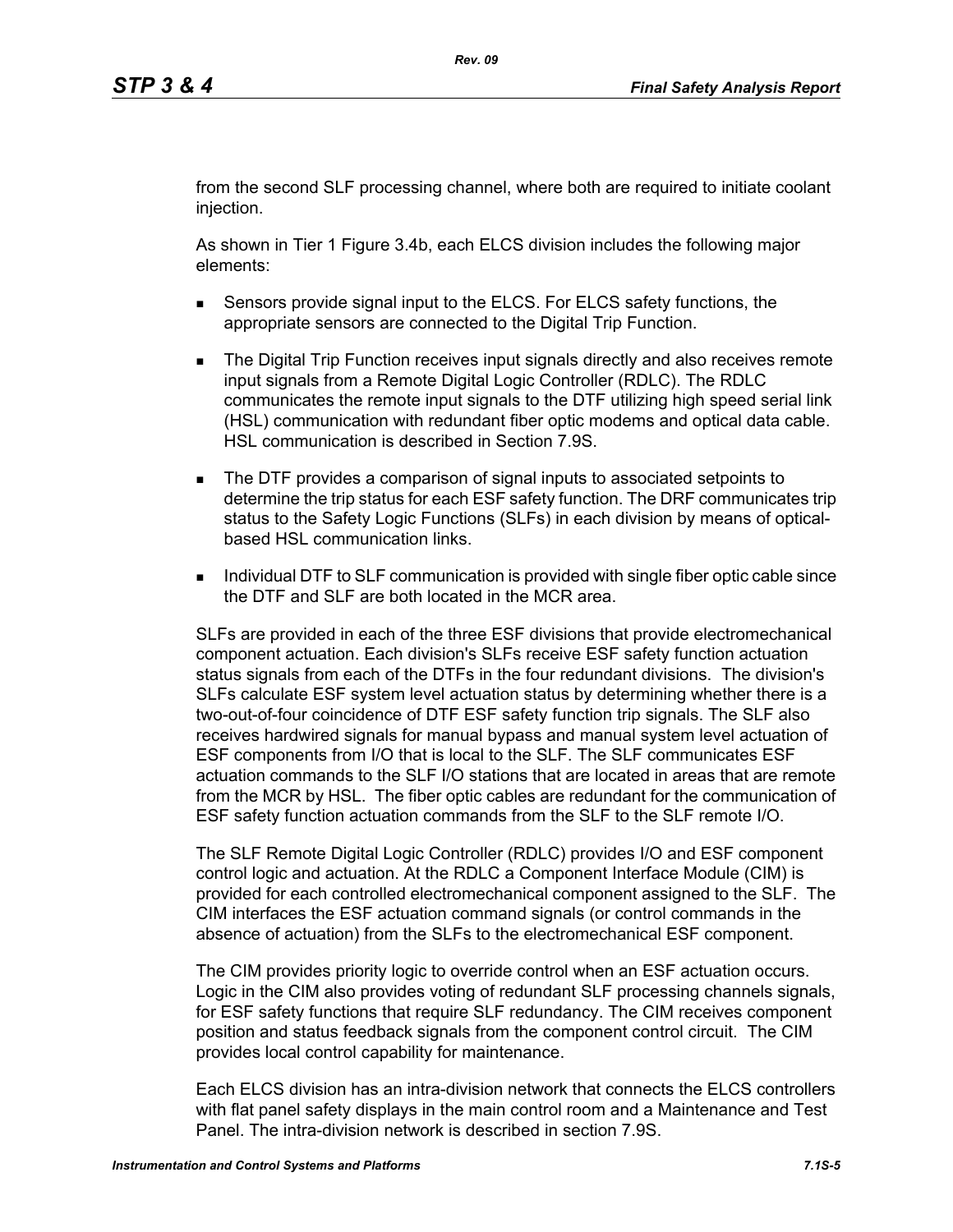from the second SLF processing channel, where both are required to initiate coolant injection.

As shown in Tier 1 Figure 3.4b, each ELCS division includes the following major elements:

- Sensors provide signal input to the ELCS. For ELCS safety functions, the appropriate sensors are connected to the Digital Trip Function.
- **The Digital Trip Function receives input signals directly and also receives remote** input signals from a Remote Digital Logic Controller (RDLC). The RDLC communicates the remote input signals to the DTF utilizing high speed serial link (HSL) communication with redundant fiber optic modems and optical data cable. HSL communication is described in Section 7.9S.
- The DTF provides a comparison of signal inputs to associated setpoints to determine the trip status for each ESF safety function. The DRF communicates trip status to the Safety Logic Functions (SLFs) in each division by means of opticalbased HSL communication links.
- **Individual DTF to SLF communication is provided with single fiber optic cable since** the DTF and SLF are both located in the MCR area.

SLFs are provided in each of the three ESF divisions that provide electromechanical component actuation. Each division's SLFs receive ESF safety function actuation status signals from each of the DTFs in the four redundant divisions. The division's SLFs calculate ESF system level actuation status by determining whether there is a two-out-of-four coincidence of DTF ESF safety function trip signals. The SLF also receives hardwired signals for manual bypass and manual system level actuation of ESF components from I/O that is local to the SLF. The SLF communicates ESF actuation commands to the SLF I/O stations that are located in areas that are remote from the MCR by HSL. The fiber optic cables are redundant for the communication of ESF safety function actuation commands from the SLF to the SLF remote I/O.

The SLF Remote Digital Logic Controller (RDLC) provides I/O and ESF component control logic and actuation. At the RDLC a Component Interface Module (CIM) is provided for each controlled electromechanical component assigned to the SLF. The CIM interfaces the ESF actuation command signals (or control commands in the absence of actuation) from the SLFs to the electromechanical ESF component.

The CIM provides priority logic to override control when an ESF actuation occurs. Logic in the CIM also provides voting of redundant SLF processing channels signals, for ESF safety functions that require SLF redundancy. The CIM receives component position and status feedback signals from the component control circuit. The CIM provides local control capability for maintenance.

Each ELCS division has an intra-division network that connects the ELCS controllers with flat panel safety displays in the main control room and a Maintenance and Test Panel. The intra-division network is described in section 7.9S.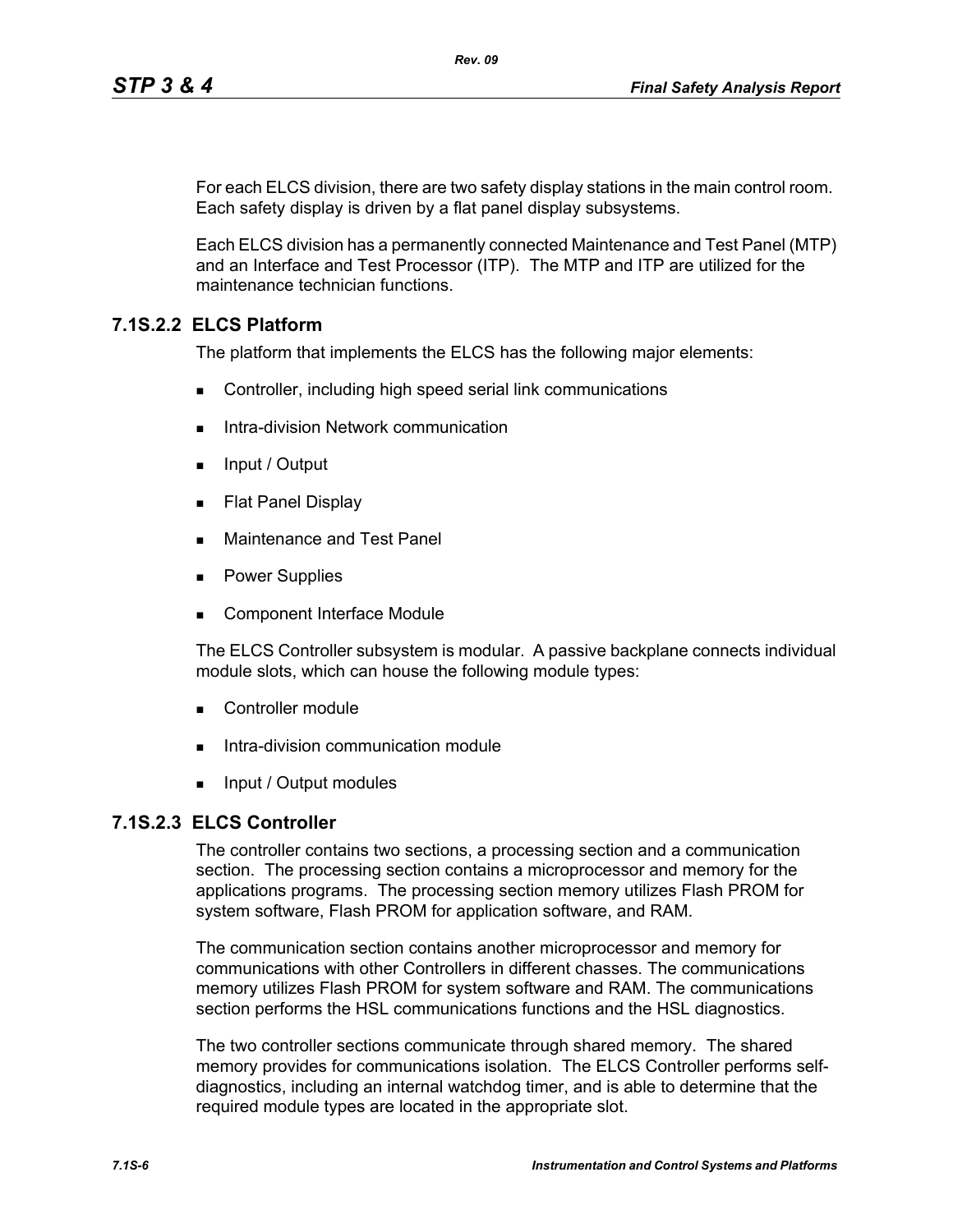For each ELCS division, there are two safety display stations in the main control room. Each safety display is driven by a flat panel display subsystems.

Each ELCS division has a permanently connected Maintenance and Test Panel (MTP) and an Interface and Test Processor (ITP). The MTP and ITP are utilized for the maintenance technician functions.

# **7.1S.2.2 ELCS Platform**

The platform that implements the ELCS has the following major elements:

- Controller, including high speed serial link communications
- Intra-division Network communication
- $\blacksquare$  Input / Output
- **Flat Panel Display**
- **Maintenance and Test Panel**
- **Power Supplies**
- Component Interface Module

The ELCS Controller subsystem is modular. A passive backplane connects individual module slots, which can house the following module types:

- Controller module
- Intra-division communication module
- **Input / Output modules**

# **7.1S.2.3 ELCS Controller**

The controller contains two sections, a processing section and a communication section. The processing section contains a microprocessor and memory for the applications programs. The processing section memory utilizes Flash PROM for system software, Flash PROM for application software, and RAM.

The communication section contains another microprocessor and memory for communications with other Controllers in different chasses. The communications memory utilizes Flash PROM for system software and RAM. The communications section performs the HSL communications functions and the HSL diagnostics.

The two controller sections communicate through shared memory. The shared memory provides for communications isolation. The ELCS Controller performs selfdiagnostics, including an internal watchdog timer, and is able to determine that the required module types are located in the appropriate slot.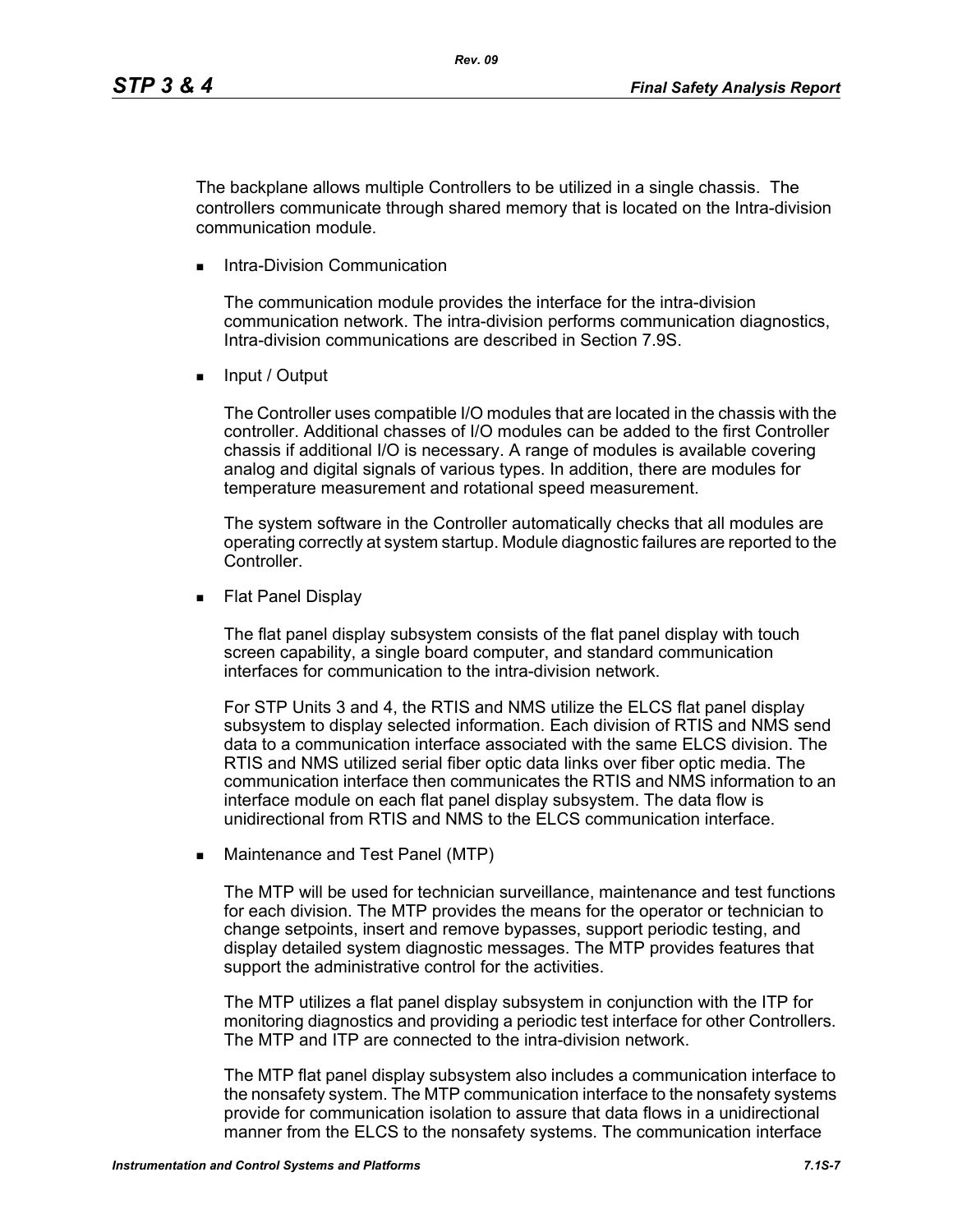The backplane allows multiple Controllers to be utilized in a single chassis. The controllers communicate through shared memory that is located on the Intra-division communication module.

Intra-Division Communication

The communication module provides the interface for the intra-division communication network. The intra-division performs communication diagnostics, Intra-division communications are described in Section 7.9S.

**Input / Output** 

The Controller uses compatible I/O modules that are located in the chassis with the controller. Additional chasses of I/O modules can be added to the first Controller chassis if additional I/O is necessary. A range of modules is available covering analog and digital signals of various types. In addition, there are modules for temperature measurement and rotational speed measurement.

The system software in the Controller automatically checks that all modules are operating correctly at system startup. Module diagnostic failures are reported to the Controller.

**Flat Panel Display** 

The flat panel display subsystem consists of the flat panel display with touch screen capability, a single board computer, and standard communication interfaces for communication to the intra-division network.

For STP Units 3 and 4, the RTIS and NMS utilize the ELCS flat panel display subsystem to display selected information. Each division of RTIS and NMS send data to a communication interface associated with the same ELCS division. The RTIS and NMS utilized serial fiber optic data links over fiber optic media. The communication interface then communicates the RTIS and NMS information to an interface module on each flat panel display subsystem. The data flow is unidirectional from RTIS and NMS to the ELCS communication interface.

**Maintenance and Test Panel (MTP)** 

The MTP will be used for technician surveillance, maintenance and test functions for each division. The MTP provides the means for the operator or technician to change setpoints, insert and remove bypasses, support periodic testing, and display detailed system diagnostic messages. The MTP provides features that support the administrative control for the activities.

The MTP utilizes a flat panel display subsystem in conjunction with the ITP for monitoring diagnostics and providing a periodic test interface for other Controllers. The MTP and ITP are connected to the intra-division network.

The MTP flat panel display subsystem also includes a communication interface to the nonsafety system. The MTP communication interface to the nonsafety systems provide for communication isolation to assure that data flows in a unidirectional manner from the ELCS to the nonsafety systems. The communication interface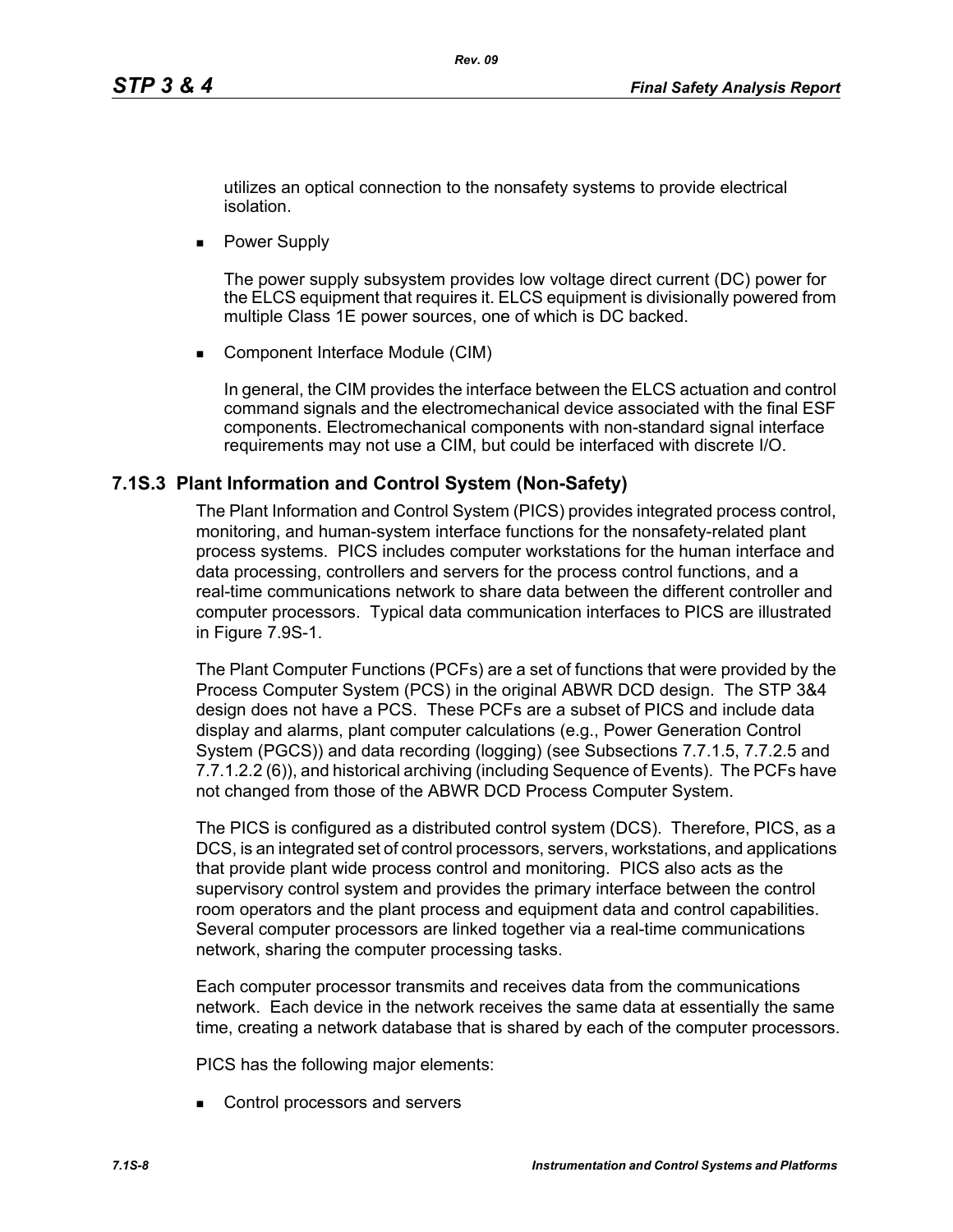utilizes an optical connection to the nonsafety systems to provide electrical isolation.

**Power Supply** 

The power supply subsystem provides low voltage direct current (DC) power for the ELCS equipment that requires it. ELCS equipment is divisionally powered from multiple Class 1E power sources, one of which is DC backed.

■ Component Interface Module (CIM)

In general, the CIM provides the interface between the ELCS actuation and control command signals and the electromechanical device associated with the final ESF components. Electromechanical components with non-standard signal interface requirements may not use a CIM, but could be interfaced with discrete I/O.

### **7.1S.3 Plant Information and Control System (Non-Safety)**

The Plant Information and Control System (PICS) provides integrated process control, monitoring, and human-system interface functions for the nonsafety-related plant process systems. PICS includes computer workstations for the human interface and data processing, controllers and servers for the process control functions, and a real-time communications network to share data between the different controller and computer processors. Typical data communication interfaces to PICS are illustrated in Figure 7.9S-1.

The Plant Computer Functions (PCFs) are a set of functions that were provided by the Process Computer System (PCS) in the original ABWR DCD design. The STP 3&4 design does not have a PCS. These PCFs are a subset of PICS and include data display and alarms, plant computer calculations (e.g., Power Generation Control System (PGCS)) and data recording (logging) (see Subsections 7.7.1.5, 7.7.2.5 and 7.7.1.2.2 (6)), and historical archiving (including Sequence of Events). The PCFs have not changed from those of the ABWR DCD Process Computer System.

The PICS is configured as a distributed control system (DCS). Therefore, PICS, as a DCS, is an integrated set of control processors, servers, workstations, and applications that provide plant wide process control and monitoring. PICS also acts as the supervisory control system and provides the primary interface between the control room operators and the plant process and equipment data and control capabilities. Several computer processors are linked together via a real-time communications network, sharing the computer processing tasks.

Each computer processor transmits and receives data from the communications network. Each device in the network receives the same data at essentially the same time, creating a network database that is shared by each of the computer processors.

PICS has the following major elements:

Control processors and servers